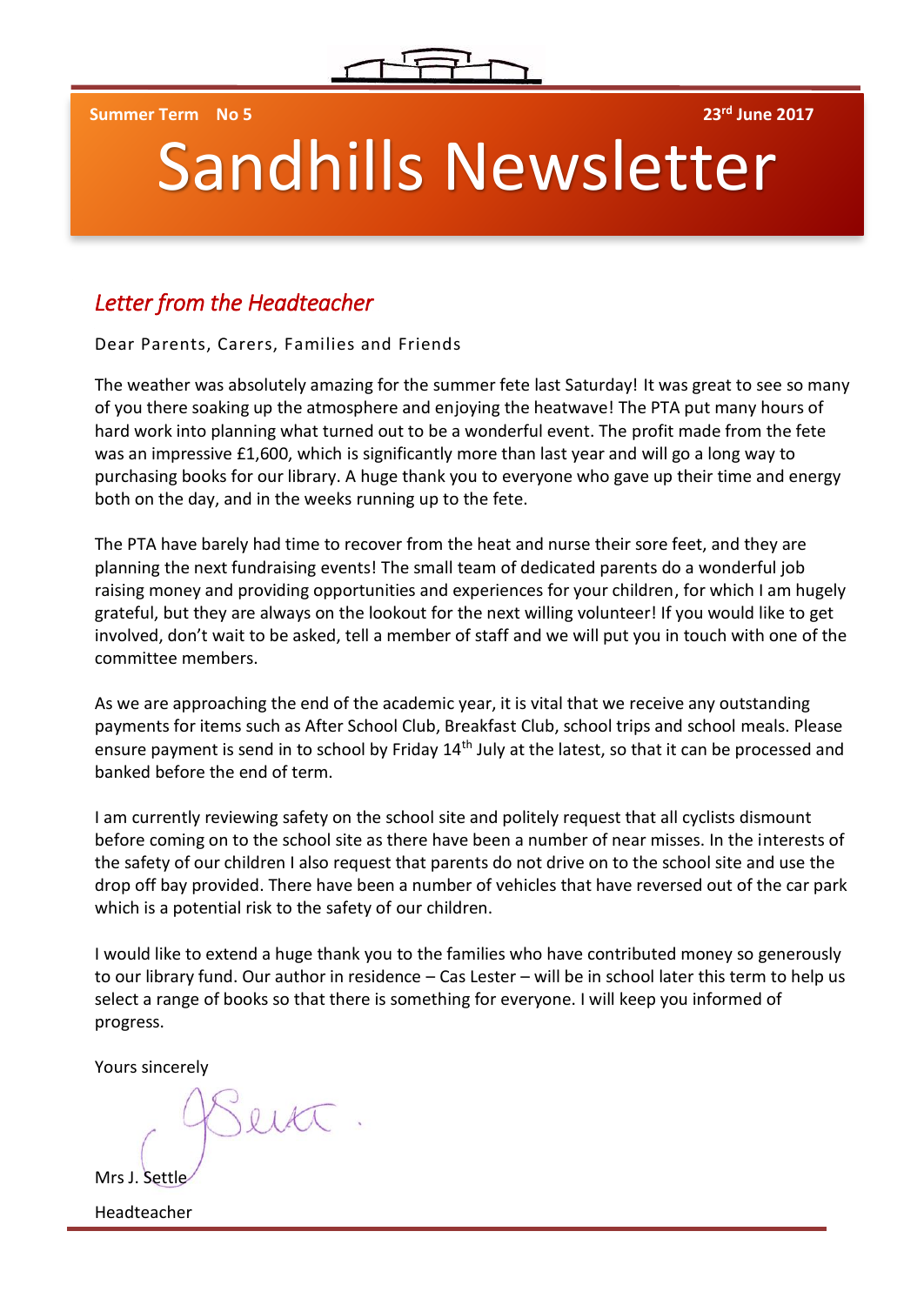

**Summer Term No 5 23rd June 2017**

# Sandhills Newsletter

## *Letter from the Headteacher*

Dear Parents, Carers, Families and Friends

The weather was absolutely amazing for the summer fete last Saturday! It was great to see so many of you there soaking up the atmosphere and enjoying the heatwave! The PTA put many hours of hard work into planning what turned out to be a wonderful event. The profit made from the fete was an impressive £1,600, which is significantly more than last year and will go a long way to purchasing books for our library. A huge thank you to everyone who gave up their time and energy both on the day, and in the weeks running up to the fete.

The PTA have barely had time to recover from the heat and nurse their sore feet, and they are planning the next fundraising events! The small team of dedicated parents do a wonderful job raising money and providing opportunities and experiences for your children, for which I am hugely grateful, but they are always on the lookout for the next willing volunteer! If you would like to get involved, don't wait to be asked, tell a member of staff and we will put you in touch with one of the committee members.

As we are approaching the end of the academic year, it is vital that we receive any outstanding payments for items such as After School Club, Breakfast Club, school trips and school meals. Please ensure payment is send in to school by Friday 14<sup>th</sup> July at the latest, so that it can be processed and banked before the end of term.

I am currently reviewing safety on the school site and politely request that all cyclists dismount before coming on to the school site as there have been a number of near misses. In the interests of the safety of our children I also request that parents do not drive on to the school site and use the drop off bay provided. There have been a number of vehicles that have reversed out of the car park which is a potential risk to the safety of our children.

I would like to extend a huge thank you to the families who have contributed money so generously to our library fund. Our author in residence – Cas Lester – will be in school later this term to help us select a range of books so that there is something for everyone. I will keep you informed of progress.

Yours sincerely

 $0181$ 

Mrs J. Settl

Headteacher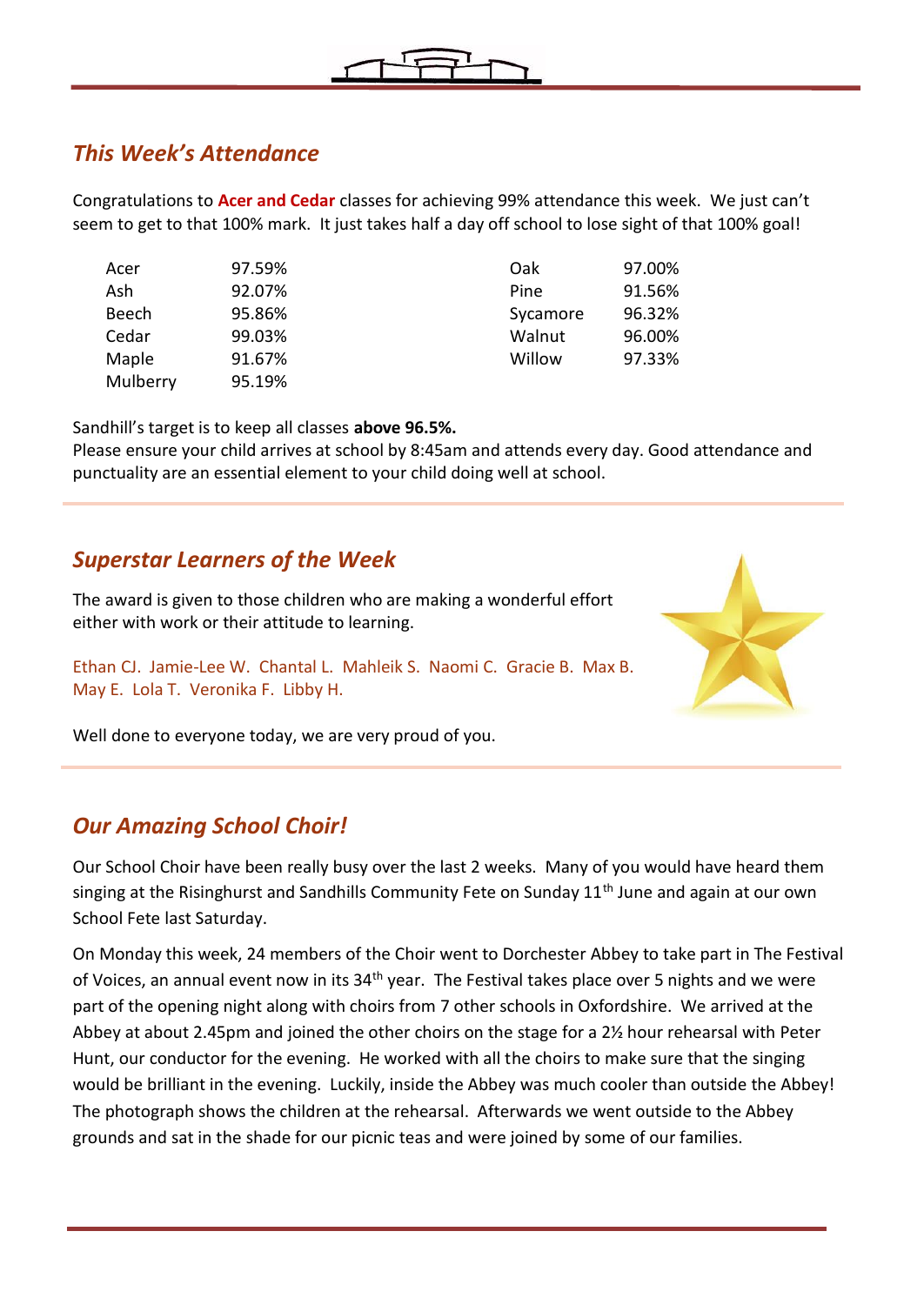

### *This Week's Attendance*

Congratulations to **Acer and Cedar** classes for achieving 99% attendance this week. We just can't seem to get to that 100% mark. It just takes half a day off school to lose sight of that 100% goal!

| Acer         | 97.59% |
|--------------|--------|
| Ash          | 92.07% |
| <b>Beech</b> | 95.86% |
| Cedar        | 99.03% |
| Maple        | 91.67% |
| Mulberry     | 95.19% |
|              |        |

| Acer  | 97.59% | Oak      | 97.00% |
|-------|--------|----------|--------|
| Ash   | 92.07% | Pine     | 91.56% |
| Beech | 95.86% | Sycamore | 96.32% |
| Cedar | 99.03% | Walnut   | 96.00% |
| Maple | 91.67% | Willow   | 97.33% |
|       |        |          |        |

Sandhill's target is to keep all classes **above 96.5%.** 

Please ensure your child arrives at school by 8:45am and attends every day. Good attendance and punctuality are an essential element to your child doing well at school.

### *Superstar Learners of the Week*

The award is given to those children who are making a wonderful effort either with work or their attitude to learning.

Ethan CJ. Jamie-Lee W. Chantal L. Mahleik S. Naomi C. Gracie B. Max B. May E. Lola T. Veronika F. Libby H.



Well done to everyone today, we are very proud of you.

#### *Our Amazing School Choir!*

Our School Choir have been really busy over the last 2 weeks. Many of you would have heard them singing at the Risinghurst and Sandhills Community Fete on Sunday 11<sup>th</sup> June and again at our own School Fete last Saturday.

On Monday this week, 24 members of the Choir went to Dorchester Abbey to take part in The Festival of Voices, an annual event now in its  $34<sup>th</sup>$  year. The Festival takes place over 5 nights and we were part of the opening night along with choirs from 7 other schools in Oxfordshire. We arrived at the Abbey at about 2.45pm and joined the other choirs on the stage for a 2½ hour rehearsal with Peter Hunt, our conductor for the evening. He worked with all the choirs to make sure that the singing would be brilliant in the evening. Luckily, inside the Abbey was much cooler than outside the Abbey! The photograph shows the children at the rehearsal. Afterwards we went outside to the Abbey grounds and sat in the shade for our picnic teas and were joined by some of our families.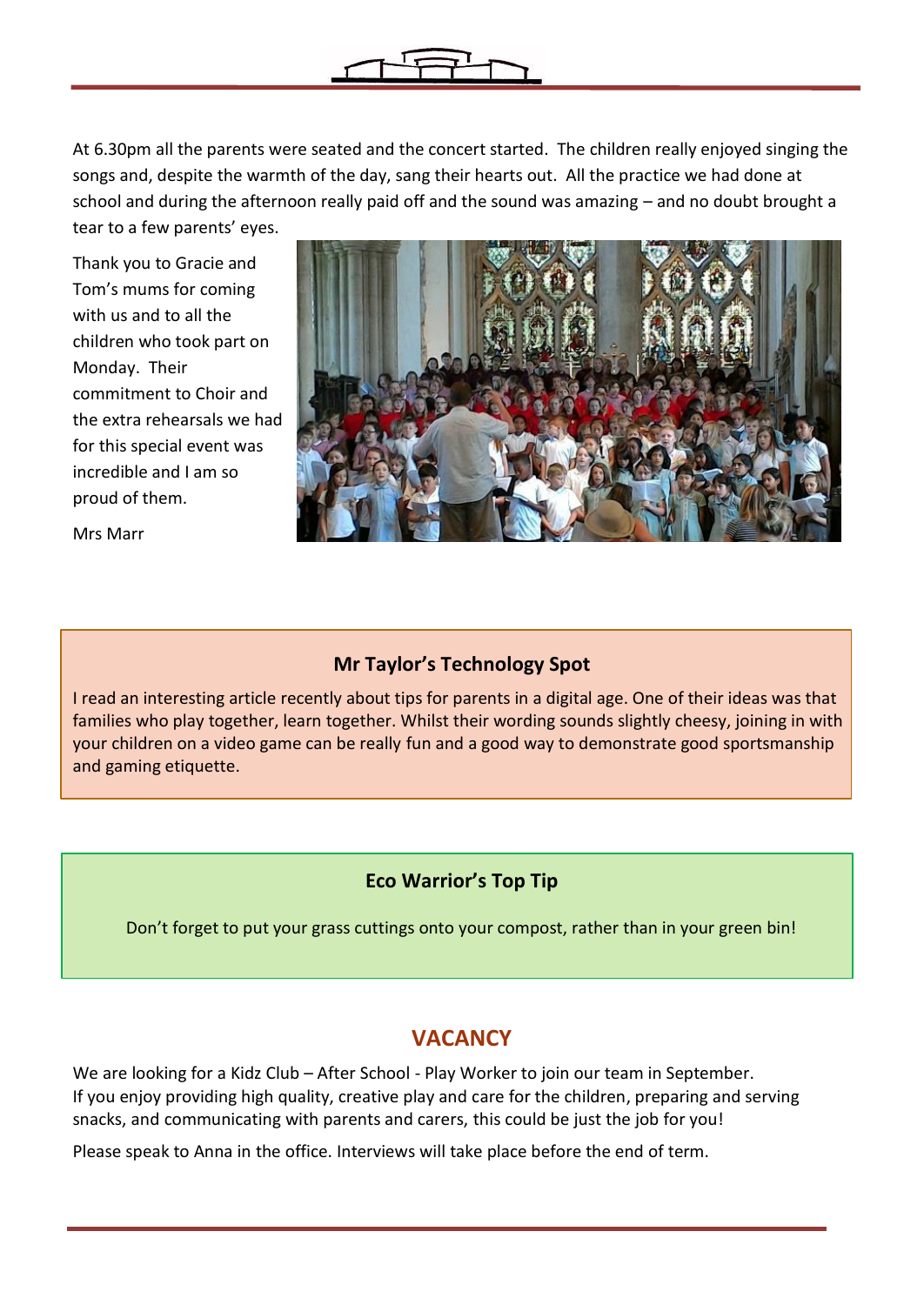

At 6.30pm all the parents were seated and the concert started. The children really enjoyed singing the songs and, despite the warmth of the day, sang their hearts out. All the practice we had done at school and during the afternoon really paid off and the sound was amazing – and no doubt brought a tear to a few parents' eyes.

Thank you to Gracie and Tom's mums for coming with us and to all the children who took part on Monday. Their commitment to Choir and the extra rehearsals we had for this special event was incredible and I am so proud of them.



Mrs Marr

#### **Mr Taylor's Technology Spot**

I read an interesting article recently about tips for parents in a digital age. One of their ideas was that families who play together, learn together. Whilst their wording sounds slightly cheesy, joining in with your children on a video game can be really fun and a good way to demonstrate good sportsmanship and gaming etiquette.

#### **Eco Warrior's Top Tip**

Don't forget to put your grass cuttings onto your compost, rather than in your green bin!

#### **VACANCY**

We are looking for a Kidz Club – After School - Play Worker to join our team in September. If you enjoy providing high quality, creative play and care for the children, preparing and serving snacks, and communicating with parents and carers, this could be just the job for you!

Please speak to Anna in the office. Interviews will take place before the end of term.